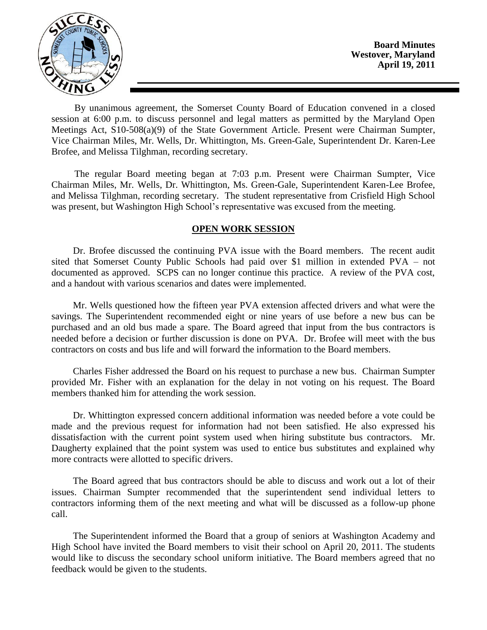

**Board Minutes Westover, Maryland April 19, 2011**

By unanimous agreement, the Somerset County Board of Education convened in a closed session at 6:00 p.m. to discuss personnel and legal matters as permitted by the Maryland Open Meetings Act, S10-508(a)(9) of the State Government Article. Present were Chairman Sumpter, Vice Chairman Miles, Mr. Wells, Dr. Whittington, Ms. Green-Gale, Superintendent Dr. Karen-Lee Brofee, and Melissa Tilghman, recording secretary.

The regular Board meeting began at 7:03 p.m. Present were Chairman Sumpter, Vice Chairman Miles, Mr. Wells, Dr. Whittington, Ms. Green-Gale, Superintendent Karen-Lee Brofee, and Melissa Tilghman, recording secretary. The student representative from Crisfield High School was present, but Washington High School's representative was excused from the meeting.

#### **OPEN WORK SESSION**

Dr. Brofee discussed the continuing PVA issue with the Board members. The recent audit sited that Somerset County Public Schools had paid over \$1 million in extended PVA – not documented as approved. SCPS can no longer continue this practice. A review of the PVA cost, and a handout with various scenarios and dates were implemented.

Mr. Wells questioned how the fifteen year PVA extension affected drivers and what were the savings. The Superintendent recommended eight or nine years of use before a new bus can be purchased and an old bus made a spare. The Board agreed that input from the bus contractors is needed before a decision or further discussion is done on PVA. Dr. Brofee will meet with the bus contractors on costs and bus life and will forward the information to the Board members.

Charles Fisher addressed the Board on his request to purchase a new bus. Chairman Sumpter provided Mr. Fisher with an explanation for the delay in not voting on his request. The Board members thanked him for attending the work session.

Dr. Whittington expressed concern additional information was needed before a vote could be made and the previous request for information had not been satisfied. He also expressed his dissatisfaction with the current point system used when hiring substitute bus contractors. Mr. Daugherty explained that the point system was used to entice bus substitutes and explained why more contracts were allotted to specific drivers.

The Board agreed that bus contractors should be able to discuss and work out a lot of their issues. Chairman Sumpter recommended that the superintendent send individual letters to contractors informing them of the next meeting and what will be discussed as a follow-up phone call.

The Superintendent informed the Board that a group of seniors at Washington Academy and High School have invited the Board members to visit their school on April 20, 2011. The students would like to discuss the secondary school uniform initiative. The Board members agreed that no feedback would be given to the students.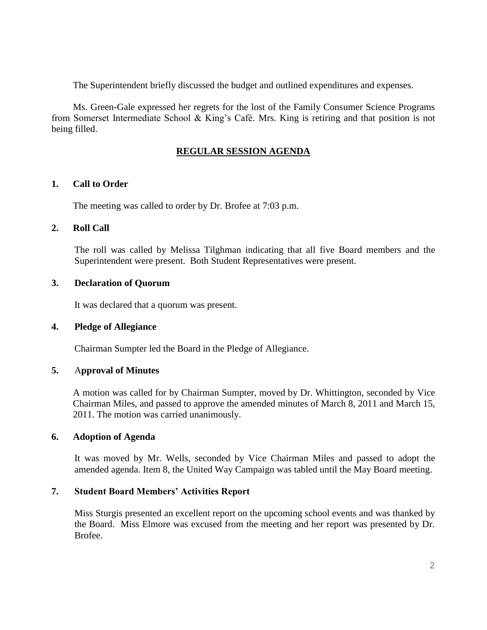The Superintendent briefly discussed the budget and outlined expenditures and expenses.

Ms. Green-Gale expressed her regrets for the lost of the Family Consumer Science Programs from Somerset Intermediate School & King's Café. Mrs. King is retiring and that position is not being filled.

# **REGULAR SESSION AGENDA**

## **1. Call to Order**

The meeting was called to order by Dr. Brofee at 7:03 p.m.

## **2. Roll Call**

The roll was called by Melissa Tilghman indicating that all five Board members and the Superintendent were present. Both Student Representatives were present.

## **3. Declaration of Quorum**

It was declared that a quorum was present.

## **4. Pledge of Allegiance**

Chairman Sumpter led the Board in the Pledge of Allegiance.

### **5.** A**pproval of Minutes**

A motion was called for by Chairman Sumpter, moved by Dr. Whittington, seconded by Vice Chairman Miles, and passed to approve the amended minutes of March 8, 2011 and March 15, 2011. The motion was carried unanimously.

### **6. Adoption of Agenda**

It was moved by Mr. Wells, seconded by Vice Chairman Miles and passed to adopt the amended agenda. Item 8, the United Way Campaign was tabled until the May Board meeting.

# **7. Student Board Members' Activities Report**

Miss Sturgis presented an excellent report on the upcoming school events and was thanked by the Board. Miss Elmore was excused from the meeting and her report was presented by Dr. Brofee.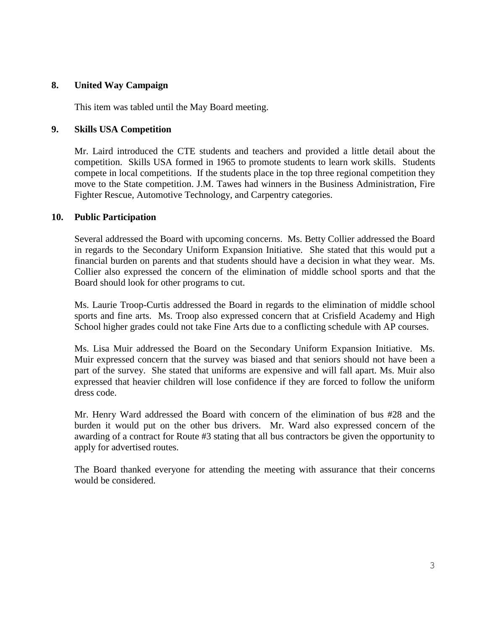## **8. United Way Campaign**

This item was tabled until the May Board meeting.

### **9. Skills USA Competition**

Mr. Laird introduced the CTE students and teachers and provided a little detail about the competition. Skills USA formed in 1965 to promote students to learn work skills. Students compete in local competitions. If the students place in the top three regional competition they move to the State competition. J.M. Tawes had winners in the Business Administration, Fire Fighter Rescue, Automotive Technology, and Carpentry categories.

## **10. Public Participation**

Several addressed the Board with upcoming concerns. Ms. Betty Collier addressed the Board in regards to the Secondary Uniform Expansion Initiative. She stated that this would put a financial burden on parents and that students should have a decision in what they wear. Ms. Collier also expressed the concern of the elimination of middle school sports and that the Board should look for other programs to cut.

Ms. Laurie Troop-Curtis addressed the Board in regards to the elimination of middle school sports and fine arts. Ms. Troop also expressed concern that at Crisfield Academy and High School higher grades could not take Fine Arts due to a conflicting schedule with AP courses.

Ms. Lisa Muir addressed the Board on the Secondary Uniform Expansion Initiative. Ms. Muir expressed concern that the survey was biased and that seniors should not have been a part of the survey. She stated that uniforms are expensive and will fall apart. Ms. Muir also expressed that heavier children will lose confidence if they are forced to follow the uniform dress code.

Mr. Henry Ward addressed the Board with concern of the elimination of bus #28 and the burden it would put on the other bus drivers. Mr. Ward also expressed concern of the awarding of a contract for Route #3 stating that all bus contractors be given the opportunity to apply for advertised routes.

The Board thanked everyone for attending the meeting with assurance that their concerns would be considered.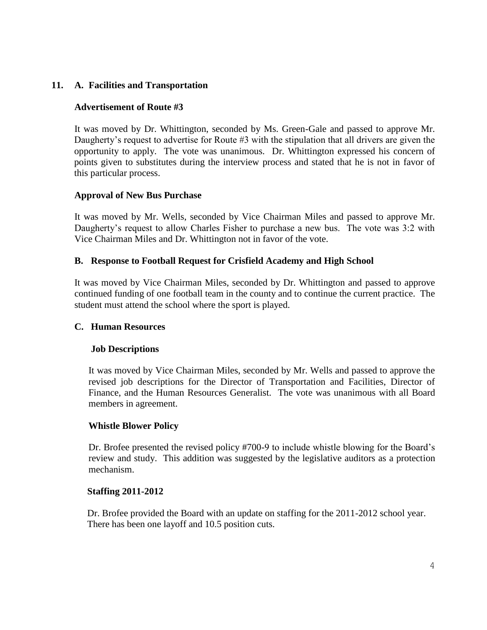# **11. A. Facilities and Transportation**

## **Advertisement of Route #3**

It was moved by Dr. Whittington, seconded by Ms. Green-Gale and passed to approve Mr. Daugherty's request to advertise for Route #3 with the stipulation that all drivers are given the opportunity to apply. The vote was unanimous. Dr. Whittington expressed his concern of points given to substitutes during the interview process and stated that he is not in favor of this particular process.

## **Approval of New Bus Purchase**

It was moved by Mr. Wells, seconded by Vice Chairman Miles and passed to approve Mr. Daugherty's request to allow Charles Fisher to purchase a new bus. The vote was 3:2 with Vice Chairman Miles and Dr. Whittington not in favor of the vote.

## **B. Response to Football Request for Crisfield Academy and High School**

It was moved by Vice Chairman Miles, seconded by Dr. Whittington and passed to approve continued funding of one football team in the county and to continue the current practice. The student must attend the school where the sport is played.

### **C. Human Resources**

# **Job Descriptions**

It was moved by Vice Chairman Miles, seconded by Mr. Wells and passed to approve the revised job descriptions for the Director of Transportation and Facilities, Director of Finance, and the Human Resources Generalist. The vote was unanimous with all Board members in agreement.

### **Whistle Blower Policy**

Dr. Brofee presented the revised policy #700-9 to include whistle blowing for the Board's review and study. This addition was suggested by the legislative auditors as a protection mechanism.

### **Staffing 2011-2012**

Dr. Brofee provided the Board with an update on staffing for the 2011-2012 school year. There has been one layoff and 10.5 position cuts.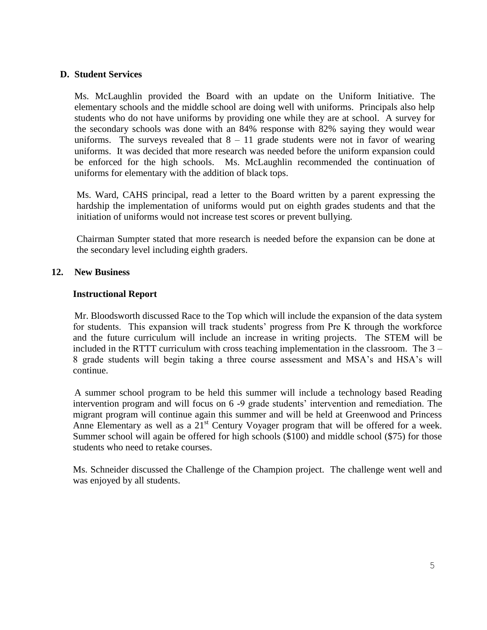### **D. Student Services**

Ms. McLaughlin provided the Board with an update on the Uniform Initiative. The elementary schools and the middle school are doing well with uniforms. Principals also help students who do not have uniforms by providing one while they are at school. A survey for the secondary schools was done with an 84% response with 82% saying they would wear uniforms. The surveys revealed that  $8 - 11$  grade students were not in favor of wearing uniforms. It was decided that more research was needed before the uniform expansion could be enforced for the high schools. Ms. McLaughlin recommended the continuation of uniforms for elementary with the addition of black tops.

Ms. Ward, CAHS principal, read a letter to the Board written by a parent expressing the hardship the implementation of uniforms would put on eighth grades students and that the initiation of uniforms would not increase test scores or prevent bullying.

Chairman Sumpter stated that more research is needed before the expansion can be done at the secondary level including eighth graders.

## **12. New Business**

### **Instructional Report**

Mr. Bloodsworth discussed Race to the Top which will include the expansion of the data system for students. This expansion will track students' progress from Pre K through the workforce and the future curriculum will include an increase in writing projects. The STEM will be included in the RTTT curriculum with cross teaching implementation in the classroom. The 3 – 8 grade students will begin taking a three course assessment and MSA's and HSA's will continue.

A summer school program to be held this summer will include a technology based Reading intervention program and will focus on 6 -9 grade students' intervention and remediation. The migrant program will continue again this summer and will be held at Greenwood and Princess Anne Elementary as well as a  $21<sup>st</sup>$  Century Voyager program that will be offered for a week. Summer school will again be offered for high schools (\$100) and middle school (\$75) for those students who need to retake courses.

Ms. Schneider discussed the Challenge of the Champion project. The challenge went well and was enjoyed by all students.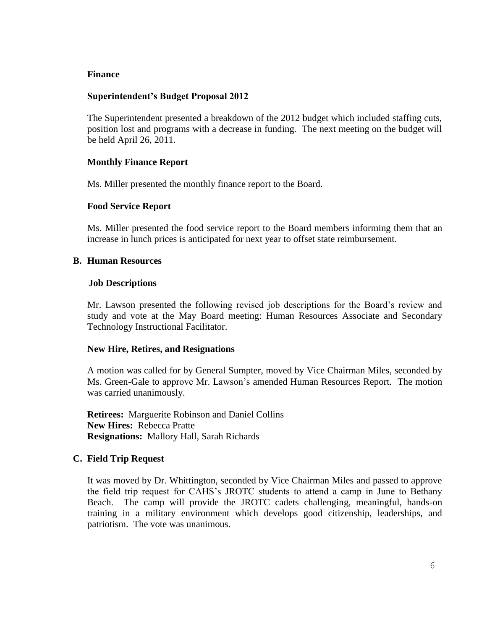#### **Finance**

### **Superintendent's Budget Proposal 2012**

The Superintendent presented a breakdown of the 2012 budget which included staffing cuts, position lost and programs with a decrease in funding. The next meeting on the budget will be held April 26, 2011.

#### **Monthly Finance Report**

Ms. Miller presented the monthly finance report to the Board.

#### **Food Service Report**

Ms. Miller presented the food service report to the Board members informing them that an increase in lunch prices is anticipated for next year to offset state reimbursement.

#### **B. Human Resources**

#### **Job Descriptions**

Mr. Lawson presented the following revised job descriptions for the Board's review and study and vote at the May Board meeting: Human Resources Associate and Secondary Technology Instructional Facilitator.

#### **New Hire, Retires, and Resignations**

A motion was called for by General Sumpter, moved by Vice Chairman Miles, seconded by Ms. Green-Gale to approve Mr. Lawson's amended Human Resources Report. The motion was carried unanimously.

**Retirees:** Marguerite Robinson and Daniel Collins **New Hires:** Rebecca Pratte **Resignations:** Mallory Hall, Sarah Richards

#### **C. Field Trip Request**

It was moved by Dr. Whittington, seconded by Vice Chairman Miles and passed to approve the field trip request for CAHS's JROTC students to attend a camp in June to Bethany Beach. The camp will provide the JROTC cadets challenging, meaningful, hands-on training in a military environment which develops good citizenship, leaderships, and patriotism. The vote was unanimous.